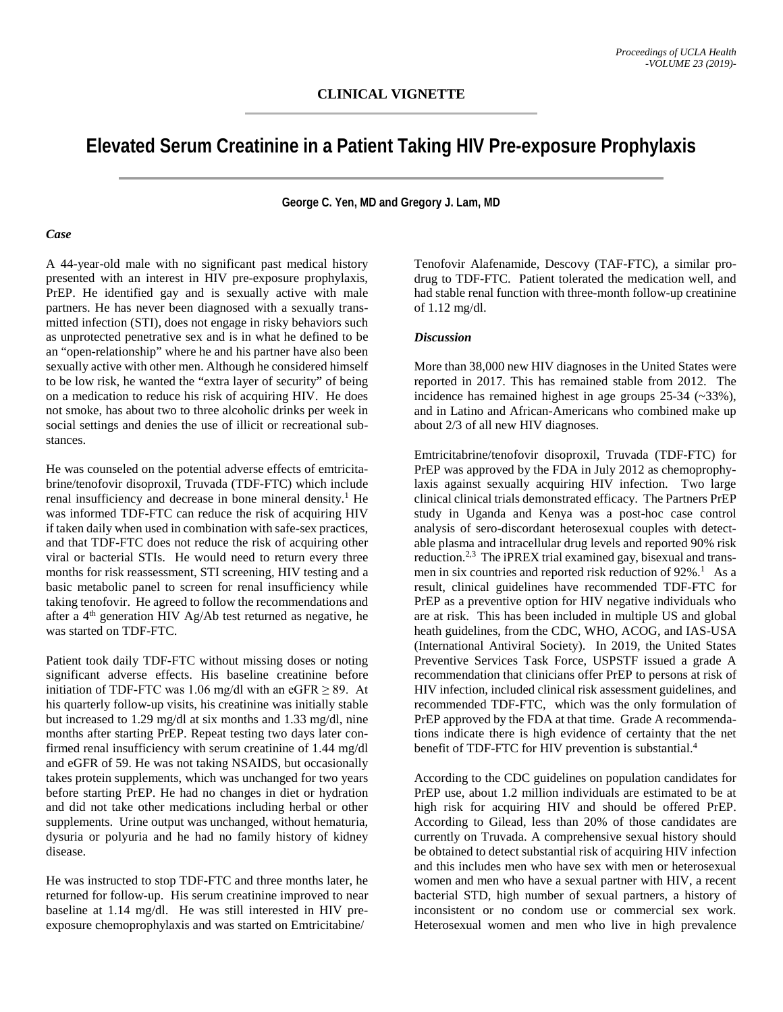# **Elevated Serum Creatinine in a Patient Taking HIV Pre-exposure Prophylaxis**

**George C. Yen, MD and Gregory J. Lam, MD**

#### *Case*

A 44-year-old male with no significant past medical history presented with an interest in HIV pre-exposure prophylaxis, PrEP. He identified gay and is sexually active with male partners. He has never been diagnosed with a sexually transmitted infection (STI), does not engage in risky behaviors such as unprotected penetrative sex and is in what he defined to be an "open-relationship" where he and his partner have also been sexually active with other men. Although he considered himself to be low risk, he wanted the "extra layer of security" of being on a medication to reduce his risk of acquiring HIV. He does not smoke, has about two to three alcoholic drinks per week in social settings and denies the use of illicit or recreational substances.

He was counseled on the potential adverse effects of emtricitabrine/tenofovir disoproxil, Truvada (TDF-FTC) which include renal insufficiency and decrease in bone mineral density.<sup>1</sup> He was informed TDF-FTC can reduce the risk of acquiring HIV if taken daily when used in combination with safe-sex practices, and that TDF-FTC does not reduce the risk of acquiring other viral or bacterial STIs. He would need to return every three months for risk reassessment, STI screening, HIV testing and a basic metabolic panel to screen for renal insufficiency while taking tenofovir. He agreed to follow the recommendations and after a 4th generation HIV Ag/Ab test returned as negative, he was started on TDF-FTC.

Patient took daily TDF-FTC without missing doses or noting significant adverse effects. His baseline creatinine before initiation of TDF-FTC was 1.06 mg/dl with an eGFR  $\geq$  89. At his quarterly follow-up visits, his creatinine was initially stable but increased to 1.29 mg/dl at six months and 1.33 mg/dl, nine months after starting PrEP. Repeat testing two days later confirmed renal insufficiency with serum creatinine of 1.44 mg/dl and eGFR of 59. He was not taking NSAIDS, but occasionally takes protein supplements, which was unchanged for two years before starting PrEP. He had no changes in diet or hydration and did not take other medications including herbal or other supplements. Urine output was unchanged, without hematuria, dysuria or polyuria and he had no family history of kidney disease.

He was instructed to stop TDF-FTC and three months later, he returned for follow-up. His serum creatinine improved to near baseline at 1.14 mg/dl. He was still interested in HIV preexposure chemoprophylaxis and was started on Emtricitabine/

Tenofovir Alafenamide, Descovy (TAF-FTC), a similar prodrug to TDF-FTC. Patient tolerated the medication well, and had stable renal function with three-month follow-up creatinine of 1.12 mg/dl.

### *Discussion*

More than 38,000 new HIV diagnoses in the United States were reported in 2017. This has remained stable from 2012. The incidence has remained highest in age groups 25-34 (~33%), and in Latino and African-Americans who combined make up about 2/3 of all new HIV diagnoses.

Emtricitabrine/tenofovir disoproxil, Truvada (TDF-FTC) for PrEP was approved by the FDA in July 2012 as chemoprophylaxis against sexually acquiring HIV infection. Two large clinical clinical trials demonstrated efficacy. The Partners PrEP study in Uganda and Kenya was a post-hoc case control analysis of sero-discordant heterosexual couples with detectable plasma and intracellular drug levels and reported 90% risk reduction.2,3 The iPREX trial examined gay, bisexual and transmen in six countries and reported risk reduction of 92%.<sup>1</sup> As a result, clinical guidelines have recommended TDF-FTC for PrEP as a preventive option for HIV negative individuals who are at risk. This has been included in multiple US and global heath guidelines, from the CDC, WHO, ACOG, and IAS-USA (International Antiviral Society). In 2019, the United States Preventive Services Task Force, USPSTF issued a grade A recommendation that clinicians offer PrEP to persons at risk of HIV infection, included clinical risk assessment guidelines, and recommended TDF-FTC, which was the only formulation of PrEP approved by the FDA at that time. Grade A recommendations indicate there is high evidence of certainty that the net benefit of TDF-FTC for HIV prevention is substantial.<sup>4</sup>

According to the CDC guidelines on population candidates for PrEP use, about 1.2 million individuals are estimated to be at high risk for acquiring HIV and should be offered PrEP. According to Gilead, less than 20% of those candidates are currently on Truvada. A comprehensive sexual history should be obtained to detect substantial risk of acquiring HIV infection and this includes men who have sex with men or heterosexual women and men who have a sexual partner with HIV, a recent bacterial STD, high number of sexual partners, a history of inconsistent or no condom use or commercial sex work. Heterosexual women and men who live in high prevalence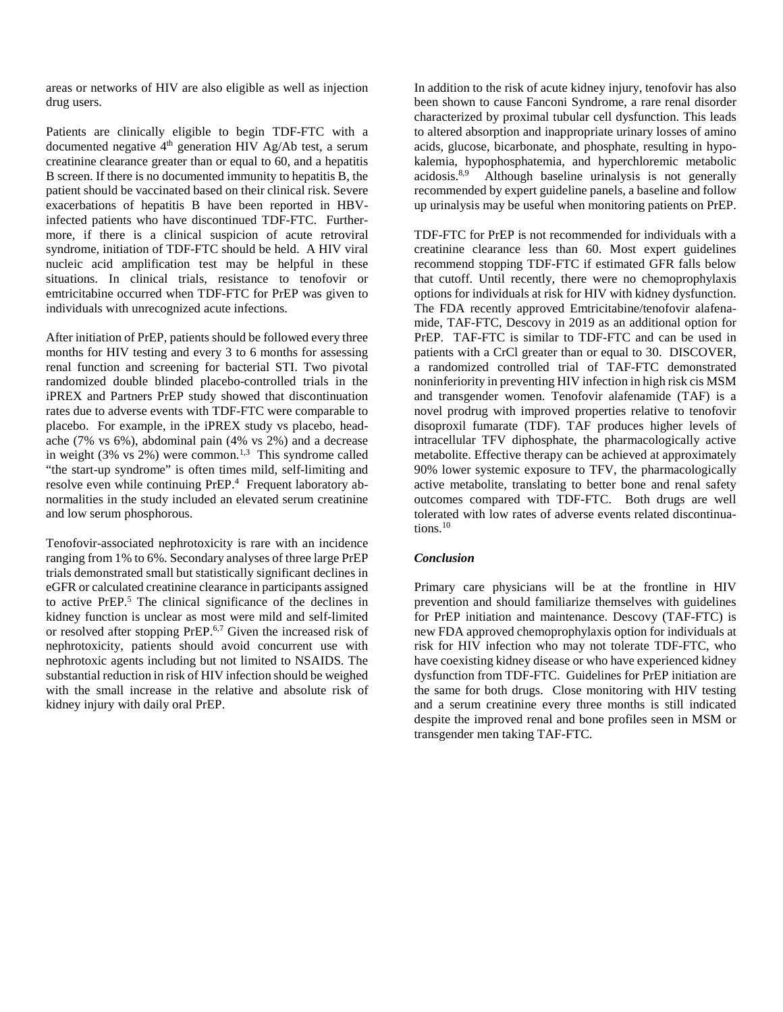areas or networks of HIV are also eligible as well as injection drug users.

Patients are clinically eligible to begin TDF-FTC with a documented negative  $4<sup>th</sup>$  generation HIV Ag/Ab test, a serum creatinine clearance greater than or equal to 60, and a hepatitis B screen. If there is no documented immunity to hepatitis B, the patient should be vaccinated based on their clinical risk. Severe exacerbations of hepatitis B have been reported in HBVinfected patients who have discontinued TDF-FTC. Furthermore, if there is a clinical suspicion of acute retroviral syndrome, initiation of TDF-FTC should be held. A HIV viral nucleic acid amplification test may be helpful in these situations. In clinical trials, resistance to tenofovir or emtricitabine occurred when TDF-FTC for PrEP was given to individuals with unrecognized acute infections.

After initiation of PrEP, patients should be followed every three months for HIV testing and every 3 to 6 months for assessing renal function and screening for bacterial STI. Two pivotal randomized double blinded placebo-controlled trials in the iPREX and Partners PrEP study showed that discontinuation rates due to adverse events with TDF-FTC were comparable to placebo. For example, in the iPREX study vs placebo, headache (7% vs 6%), abdominal pain (4% vs 2%) and a decrease in weight (3% vs  $2\%$ ) were common.<sup>1,3</sup> This syndrome called "the start-up syndrome" is often times mild, self-limiting and resolve even while continuing PrEP.<sup>4</sup> Frequent laboratory abnormalities in the study included an elevated serum creatinine and low serum phosphorous.

Tenofovir-associated nephrotoxicity is rare with an incidence ranging from 1% to 6%. Secondary analyses of three large PrEP trials demonstrated small but statistically significant declines in eGFR or calculated creatinine clearance in participants assigned to active PrEP.5 The clinical significance of the declines in kidney function is unclear as most were mild and self-limited or resolved after stopping PrEP.6,7 Given the increased risk of nephrotoxicity, patients should avoid concurrent use with nephrotoxic agents including but not limited to NSAIDS. The substantial reduction in risk of HIV infection should be weighed with the small increase in the relative and absolute risk of kidney injury with daily oral PrEP.

In addition to the risk of acute kidney injury, tenofovir has also been shown to cause Fanconi Syndrome, a rare renal disorder characterized by proximal tubular cell dysfunction. This leads to altered absorption and inappropriate urinary losses of amino acids, glucose, bicarbonate, and phosphate, resulting in hypokalemia, hypophosphatemia, and hyperchloremic metabolic acidosis.8,9 Although baseline urinalysis is not generally recommended by expert guideline panels, a baseline and follow up urinalysis may be useful when monitoring patients on PrEP.

TDF-FTC for PrEP is not recommended for individuals with a creatinine clearance less than 60. Most expert guidelines recommend stopping TDF-FTC if estimated GFR falls below that cutoff. Until recently, there were no chemoprophylaxis options for individuals at risk for HIV with kidney dysfunction. The FDA recently approved Emtricitabine/tenofovir alafenamide, TAF-FTC, Descovy in 2019 as an additional option for PrEP. TAF-FTC is similar to TDF-FTC and can be used in patients with a CrCl greater than or equal to 30. DISCOVER, a randomized controlled trial of TAF-FTC demonstrated noninferiority in preventing HIV infection in high risk cis MSM and transgender women. Tenofovir alafenamide (TAF) is a novel prodrug with improved properties relative to tenofovir disoproxil fumarate (TDF). TAF produces higher levels of intracellular TFV diphosphate, the pharmacologically active metabolite. Effective therapy can be achieved at approximately 90% lower systemic exposure to TFV, the pharmacologically active metabolite, translating to better bone and renal safety outcomes compared with TDF-FTC. Both drugs are well tolerated with low rates of adverse events related discontinuations.<sup>10</sup>

## *Conclusion*

Primary care physicians will be at the frontline in HIV prevention and should familiarize themselves with guidelines for PrEP initiation and maintenance. Descovy (TAF-FTC) is new FDA approved chemoprophylaxis option for individuals at risk for HIV infection who may not tolerate TDF-FTC, who have coexisting kidney disease or who have experienced kidney dysfunction from TDF-FTC. Guidelines for PrEP initiation are the same for both drugs. Close monitoring with HIV testing and a serum creatinine every three months is still indicated despite the improved renal and bone profiles seen in MSM or transgender men taking TAF-FTC.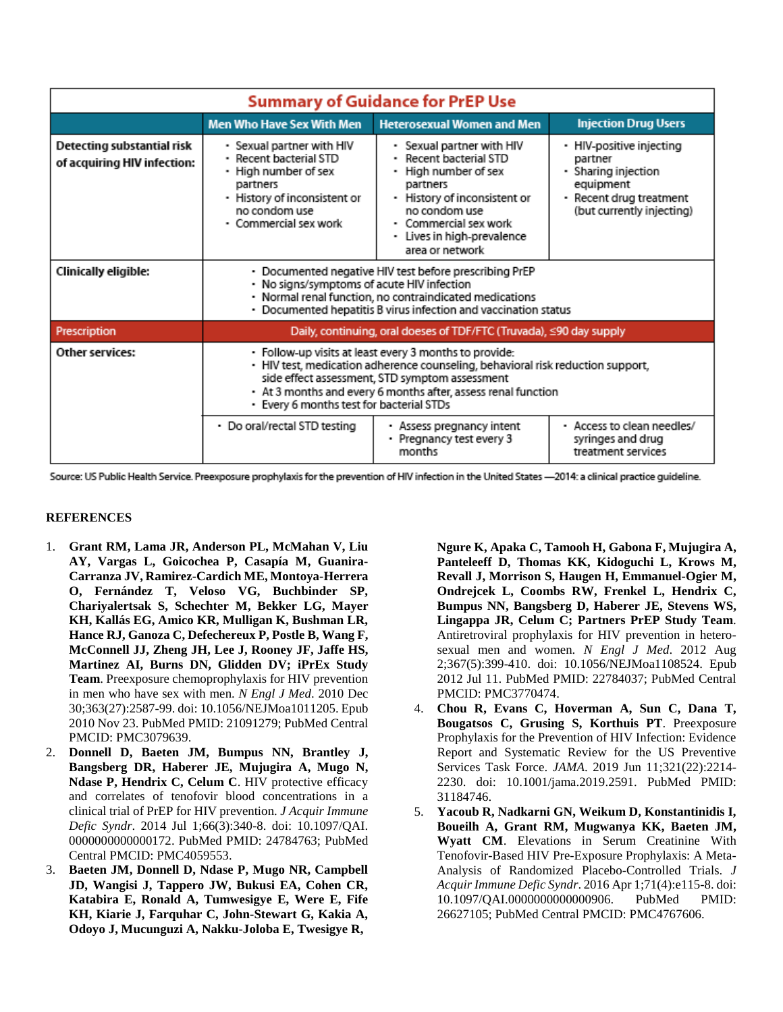| <b>Summary of Guidance for PrEP Use</b>                   |                                                                                                                                                                                                                                                                                                          |                                                                                                                                                                                                                  |                                                                                                                                 |
|-----------------------------------------------------------|----------------------------------------------------------------------------------------------------------------------------------------------------------------------------------------------------------------------------------------------------------------------------------------------------------|------------------------------------------------------------------------------------------------------------------------------------------------------------------------------------------------------------------|---------------------------------------------------------------------------------------------------------------------------------|
|                                                           | <b>Men Who Have Sex With Men</b>                                                                                                                                                                                                                                                                         | <b>Heterosexual Women and Men</b>                                                                                                                                                                                | <b>Injection Drug Users</b>                                                                                                     |
| Detecting substantial risk<br>of acquiring HIV infection: | • Sexual partner with HIV<br>· Recent bacterial STD<br>• High number of sex<br>partners<br>· History of inconsistent or<br>no condom use<br>· Commercial sex work                                                                                                                                        | • Sexual partner with HIV<br>Recent bacterial STD<br>• High number of sex<br>partners<br>- History of inconsistent or<br>no condom use<br>• Commercial sex work<br>• Lives in high-prevalence<br>area or network | • HIV-positive injecting<br>partner<br>• Sharing injection<br>equipment<br>- Recent drug treatment<br>(but currently injecting) |
| Clinically eligible:                                      | • Documented negative HIV test before prescribing PrEP<br>• No signs/symptoms of acute HIV infection<br>· Normal renal function, no contraindicated medications<br>• Documented hepatitis B virus infection and vaccination status                                                                       |                                                                                                                                                                                                                  |                                                                                                                                 |
| Prescription                                              | Daily, continuing, oral doeses of TDF/FTC (Truvada), ≤90 day supply                                                                                                                                                                                                                                      |                                                                                                                                                                                                                  |                                                                                                                                 |
| Other services:                                           | · Follow-up visits at least every 3 months to provide:<br>· HIV test, medication adherence counseling, behavioral risk reduction support,<br>side effect assessment, STD symptom assessment<br>• At 3 months and every 6 months after, assess renal function<br>• Every 6 months test for bacterial STDs |                                                                                                                                                                                                                  |                                                                                                                                 |
|                                                           | • Do oral/rectal STD testing                                                                                                                                                                                                                                                                             | · Assess pregnancy intent<br>• Pregnancy test every 3<br>months                                                                                                                                                  | · Access to clean needles/<br>syringes and drug<br>treatment services                                                           |

Source: US Public Health Service. Preexposure prophylaxis for the prevention of HIV infection in the United States -2014: a clinical practice guideline.

## **REFERENCES**

- 1. **Grant RM, Lama JR, Anderson PL, McMahan V, Liu AY, Vargas L, Goicochea P, Casapía M, Guanira-Carranza JV, Ramirez-Cardich ME, Montoya-Herrera O, Fernández T, Veloso VG, Buchbinder SP, Chariyalertsak S, Schechter M, Bekker LG, Mayer KH, Kallás EG, Amico KR, Mulligan K, Bushman LR, Hance RJ, Ganoza C, Defechereux P, Postle B, Wang F, McConnell JJ, Zheng JH, Lee J, Rooney JF, Jaffe HS, Martinez AI, Burns DN, Glidden DV; iPrEx Study Team**. Preexposure chemoprophylaxis for HIV prevention in men who have sex with men. *N Engl J Med*. 2010 Dec 30;363(27):2587-99. doi: 10.1056/NEJMoa1011205. Epub 2010 Nov 23. PubMed PMID: 21091279; PubMed Central PMCID: PMC3079639.
- 2. **Donnell D, Baeten JM, Bumpus NN, Brantley J, Bangsberg DR, Haberer JE, Mujugira A, Mugo N, Ndase P, Hendrix C, Celum C**. HIV protective efficacy and correlates of tenofovir blood concentrations in a clinical trial of PrEP for HIV prevention. *J Acquir Immune Defic Syndr*. 2014 Jul 1;66(3):340-8. doi: 10.1097/QAI. 0000000000000172. PubMed PMID: 24784763; PubMed Central PMCID: PMC4059553.
- 3. **Baeten JM, Donnell D, Ndase P, Mugo NR, Campbell JD, Wangisi J, Tappero JW, Bukusi EA, Cohen CR, Katabira E, Ronald A, Tumwesigye E, Were E, Fife KH, Kiarie J, Farquhar C, John-Stewart G, Kakia A, Odoyo J, Mucunguzi A, Nakku-Joloba E, Twesigye R,**

**Ngure K, Apaka C, Tamooh H, Gabona F, Mujugira A, Panteleeff D, Thomas KK, Kidoguchi L, Krows M, Revall J, Morrison S, Haugen H, Emmanuel-Ogier M, Ondrejcek L, Coombs RW, Frenkel L, Hendrix C, Bumpus NN, Bangsberg D, Haberer JE, Stevens WS, Lingappa JR, Celum C; Partners PrEP Study Team**. Antiretroviral prophylaxis for HIV prevention in heterosexual men and women. *N Engl J Med*. 2012 Aug 2;367(5):399-410. doi: 10.1056/NEJMoa1108524. Epub 2012 Jul 11. PubMed PMID: 22784037; PubMed Central PMCID: PMC3770474.

- 4. **Chou R, Evans C, Hoverman A, Sun C, Dana T, Bougatsos C, Grusing S, Korthuis PT**. Preexposure Prophylaxis for the Prevention of HIV Infection: Evidence Report and Systematic Review for the US Preventive Services Task Force. *JAMA*. 2019 Jun 11;321(22):2214- 2230. doi: 10.1001/jama.2019.2591. PubMed PMID: 31184746.
- 5. **Yacoub R, Nadkarni GN, Weikum D, Konstantinidis I, Boueilh A, Grant RM, Mugwanya KK, Baeten JM, Wyatt CM**. Elevations in Serum Creatinine With Tenofovir-Based HIV Pre-Exposure Prophylaxis: A Meta-Analysis of Randomized Placebo-Controlled Trials. *J Acquir Immune Defic Syndr*. 2016 Apr 1;71(4):e115-8. doi: 10.1097/QAI.0000000000000906. PubMed PMID: 26627105; PubMed Central PMCID: PMC4767606.